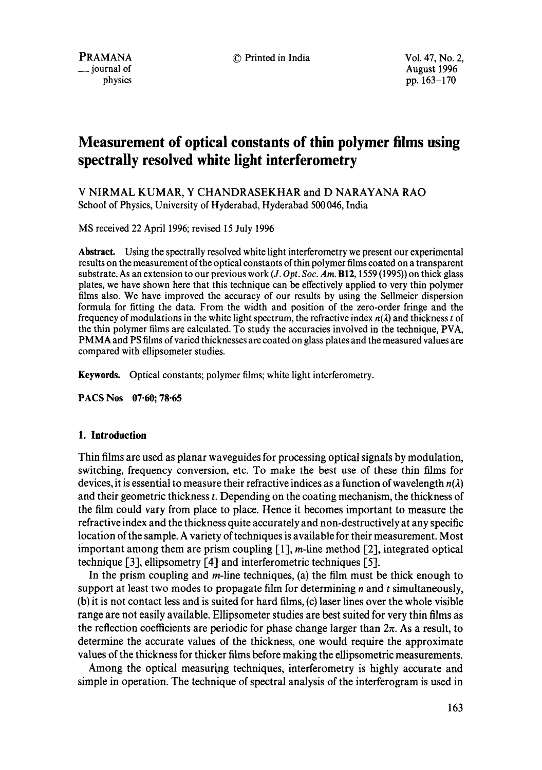**\_\_** journal of August 1996 physics pp. 163-170

# **Measurement of optical constants of thin polymer films using spectrally resolved white light interferometry**

V NIRMAL KUMAR, Y CHANDRASEKHAR and D NARAYANA RAO School of Physics, University of Hyderabad, Hyderabad 500 046, India

MS received 22 April 1996; revised 15 July 1996

**Abstract.** Using the spectrally resolved white light interferometry we present our experimental results on the measurement of the optical constants of thin polymer films coated on a transparent substrate. As an extension to our previous work *(J. Opt. Soc. Am.* B12, 1559 (1995)) on thick glass plates, we have shown here that this technique can be effectively applied to very thin polymer films also. We have improved the accuracy of our results by using the Sellmeier dispersion formula for fitting the data. From the width and position of the zero-order fringe and the frequency of modulations in the white light spectrum, the refractive index  $n(\lambda)$  and thickness t of the thin polymer films are calculated. To study the accuracies involved in the technique, PVA, PMMA and PS films of varied thicknesses are coated on glass plates and the measured values are compared with ellipsometer studies.

**Keywords.** Optical constants; polymer films; white light interferometry.

**PACS Nos 07.60; 78-65** 

#### **1. Introduction**

Thin films are used as planar waveguides for processing optical signals by modulation, switching, frequency conversion, etc. To make the best use of these thin films for devices, it is essential to measure their refractive indices as a function of wavelength  $n(\lambda)$ and their geometric thickness t. Depending on the coating mechanism, the thickness of the film could vary from place to place. Hence it becomes important to measure the refractive index and the thickness quite accurately and non-destructively at any specific location of the sample. A variety of techniques is available for their measurement. Most important among them are prism coupling  $[1]$ ,  $m$ -line method  $[2]$ , integrated optical technique [3], ellipsometry [4] and interferometric techniques [5].

In the prism coupling and  $m$ -line techniques, (a) the film must be thick enough to support at least two modes to propagate film for determining  $n$  and  $t$  simultaneously, (b) it is not contact less and is suited for hard films, (c) laser lines over the whole visible range are not easily available. Ellipsometer studies are best suited for very thin films as the reflection coefficients are periodic for phase change larger than  $2\pi$ . As a result, to determine the accurate values of the thickness, one would require the approximate values of the thickness for thicker films before making the ellipsometric measurements.

Among the optical measuring techniques, interferometry is highly accurate and simple in operation. The technique of spectral analysis of the interferogram is used in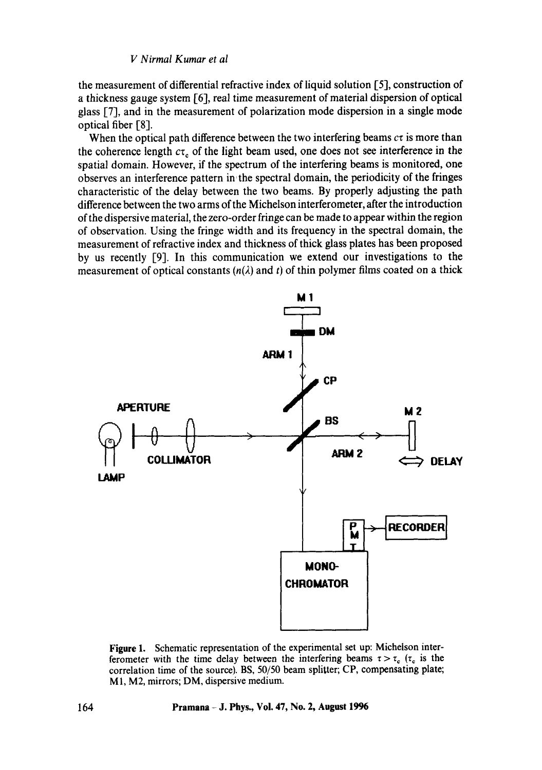the measurement of differential refractive index of liquid solution [5], construction of a thickness gauge system [6], real time measurement of material dispersion of optical glass [7], and in the measurement of polarization mode dispersion in a single mode optical fiber [8].

When the optical path difference between the two interfering beams  $c\tau$  is more than the coherence length  $c\tau_c$  of the light beam used, one does not see interference in the spatial domain. However, if the spectrum of the interfering beams is monitored, one observes an interference pattern in the spectral domain, the periodicity of the fringes characteristic of the delay between the two beams. By properly adjusting the path difference between the two arms of the Michelson interferometer, after the introduction of the dispersive material, the zero-order fringe can be made to appear within the region of observation. Using the fringe width and its frequency in the spectral domain, the measurement of refractive index and thickness of thick glass plates has been proposed by us recently [9]. In this communication we extend our investigations to the measurement of optical constants  $(n(\lambda))$  and t of thin polymer films coated on a thick



Figure 1. Schematic representation of the experimental set up: Michelson interferometer with the time delay between the interfering beams  $\tau > \tau_c$  ( $\tau_c$  is the correlation time of the source). BS, 50/50 beam splitter; CP, compensating plate; MI, M2, mirrors; DM, dispersive medium.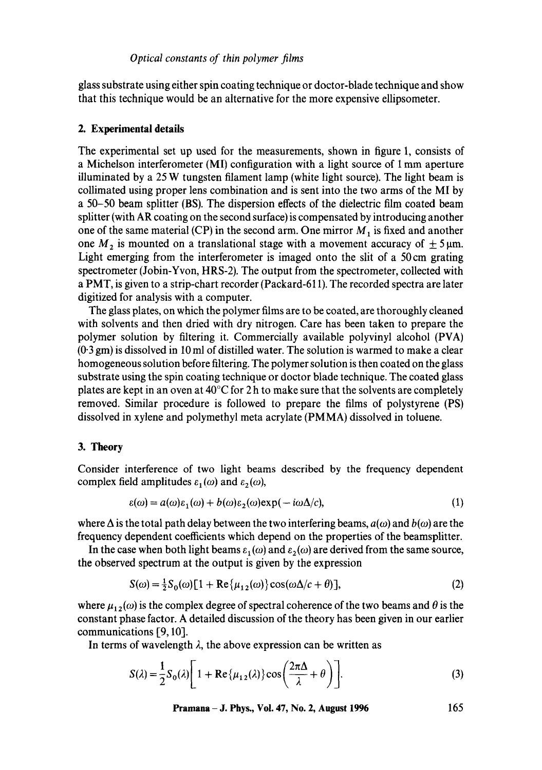glass substrate using either spin coating technique or doctor-blade technique and show that this technique would be an alternative for the more expensive ellipsometer.

# **2. Experimental details**

The experimental set up used for the measurements, shown in figure 1, consists of a Michelson interferometer (MI) configuration with a light source of 1 mm aperture illuminated by a  $25$  W tungsten filament lamp (white light source). The light beam is collimated using proper lens combination and is sent into the two arms of the MI by a 50-50 beam splitter (BS). The dispersion effects of the dielectric film coated beam splitter (with AR coating on the second surface) is compensated by introducing another one of the same material (CP) in the second arm. One mirror  $M_1$  is fixed and another one  $M_2$  is mounted on a translational stage with a movement accuracy of  $\pm 5 \,\text{\ensuremath{\mu}m}$ . Light emerging from the interferometer is imaged onto the slit of a 50 cm grating spectrometer (Jobin-Yvon, HRS-2). The output from the spectrometer, collected with a PMT, is given to a strip-chart recorder (Packard-611). The recorded spectra are later digitized for analysis with a computer.

The glass plates, on which the polymer films are to be coated, are thoroughly cleaned with solvents and then dried with dry nitrogen. Care has been taken to prepare the polymer solution by filtering it. Commercially available polyvinyl alcohol (PVA) (0"3 gm) is dissolved in 10 ml of distilled water. The solution is warmed to make a clear homogeneous solution before filtering. The polymer solution is then coated on the glass substrate using the spin coating technique or doctor blade technique. The coated glass plates are kept in an oven at  $40^{\circ}$ C for 2 h to make sure that the solvents are completely removed. Similar procedure is followed to prepare the films of polystyrene (PS) dissolved in xylene and polymethyl meta acrylate (PMMA) dissolved in toluene.

## **3. Theory**

Consider interference of two light beams described by the frequency dependent complex field amplitudes  $\varepsilon_1(\omega)$  and  $\varepsilon_2(\omega)$ ,

$$
\varepsilon(\omega) = a(\omega)\varepsilon_1(\omega) + b(\omega)\varepsilon_2(\omega)\exp(-i\omega\Delta/c),\tag{1}
$$

where  $\Delta$  is the total path delay between the two interfering beams,  $a(\omega)$  and  $b(\omega)$  are the frequency dependent coefficients which depend on the properties of the beamsplitter.

In the case when both light beams  $\varepsilon_1(\omega)$  and  $\varepsilon_2(\omega)$  are derived from the same source, the observed spectrum at the output is given by the expression

$$
S(\omega) = \frac{1}{2}S_0(\omega)[1 + \text{Re}\{\mu_{12}(\omega)\}\cos(\omega\Delta/c + \theta)],
$$
\n(2)

where  $\mu_{12}(\omega)$  is the complex degree of spectral coherence of the two beams and  $\theta$  is the constant phase factor. A detailed discussion of the theory has been given in our earlier communications [9, 10].

In terms of wavelength  $\lambda$ , the above expression can be written as

$$
S(\lambda) = \frac{1}{2}S_0(\lambda) \left[ 1 + \text{Re}\{\mu_{12}(\lambda)\}\cos\left(\frac{2\pi\Delta}{\lambda} + \theta\right) \right].
$$
 (3)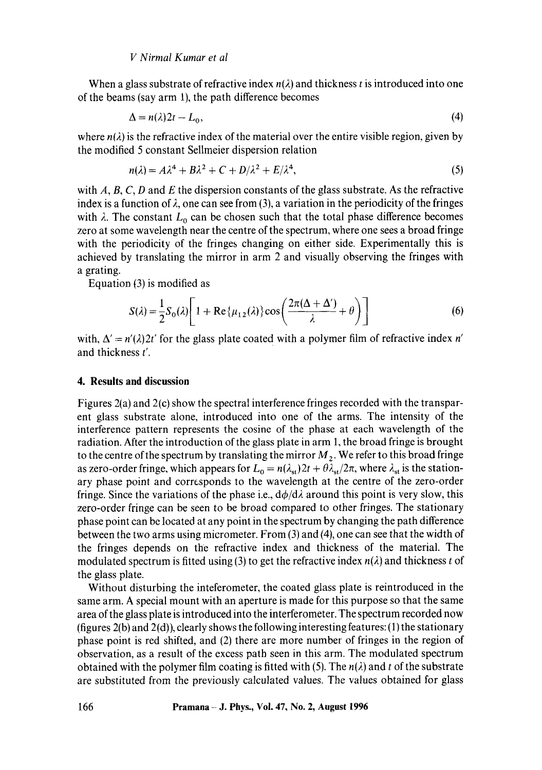#### *V Nirmal Kumar et al*

When a glass substrate of refractive index  $n(\lambda)$  and thickness t is introduced into one of the beams (say arm 1), the path difference becomes

$$
\Delta = n(\lambda)2t - L_0,\tag{4}
$$

where  $n(\lambda)$  is the refractive index of the material over the entire visible region, given by the modified 5 constant Sellmeier dispersion relation

$$
n(\lambda) = A\lambda^4 + B\lambda^2 + C + D/\lambda^2 + E/\lambda^4,\tag{5}
$$

with  $A, B, C, D$  and  $E$  the dispersion constants of the glass substrate. As the refractive index is a function of  $\lambda$ , one can see from (3), a variation in the periodicity of the fringes with  $\lambda$ . The constant  $L_0$  can be chosen such that the total phase difference becomes zero at some wavelength near the centre of the spectrum, where one sees a broad fringe with the periodicity of the fringes changing on either side. Experimentally this is achieved by translating the mirror in arm 2 and visually observing the fringes with a grating.

Equation (3) is modified as

$$
S(\lambda) = \frac{1}{2}S_0(\lambda)\left[1 + \text{Re}\{\mu_{12}(\lambda)\}\cos\left(\frac{2\pi(\Delta + \Delta')}{\lambda} + \theta\right)\right]
$$
(6)

with,  $\Delta' = n'(\lambda)2t'$  for the glass plate coated with a polymer film of refractive index n' and thickness t'.

#### **4. Results and discussion**

Figures 2(a) and 2(c) show the spectral interference fringes recorded with the transparent glass substrate alone, introduced into one of the arms. The intensity of the interference pattern represents the cosine of the phase at each wavelength of the radiation. After the introduction of the glass plate in arm 1, the broad fringe is brought to the centre of the spectrum by translating the mirror  $M_2$ . We refer to this broad fringe as zero-order fringe, which appears for  $L_0 = n(\lambda_{st})2t + \theta \lambda_{st}/2\pi$ , where  $\lambda_{st}$  is the stationary phase point and corresponds to the wavelength at the centre of the zero-order fringe. Since the variations of the phase i.e.,  $d\phi/d\lambda$  around this point is very slow, this zero-order fringe can be seen to be broad compared to other fringes. The stationary phase point can be located at any point in the spectrum by changing the path difference between the two arms using micrometer. From (3) and (4), one can see that the width of the fringes depends on the refractive index and thickness of the material. The modulated spectrum is fitted using (3) to get the refractive index  $n(\lambda)$  and thickness t of the glass plate.

Without disturbing the inteferometer, the coated glass plate is reintroduced in the same arm. A special mount with an aperture is made for this purpose so that the same area of the glass plate is introduced into the interferometer. The spectrum recorded now (figures  $2(b)$  and  $2(d)$ ), clearly shows the following interesting features: (1) the stationary phase point is red shifted, and (2) there are more number of fringes in the region of observation, as a result of the excess path seen in this arm. The modulated spectrum obtained with the polymer film coating is fitted with (5). The  $n(\lambda)$  and t of the substrate are substituted from the previously calculated values. The values obtained for glass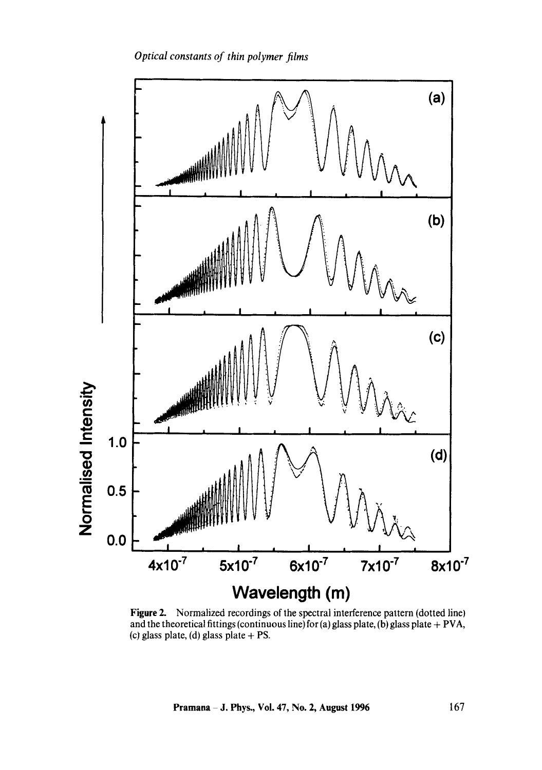

Figure 2. Normalized recordings of the spectral interference pattern (dotted line) and the theoretical fittings (continuous line) for (a) glass plate, (b) glass plate + PVA, (c) glass plate, (d) glass plate  $+$  PS.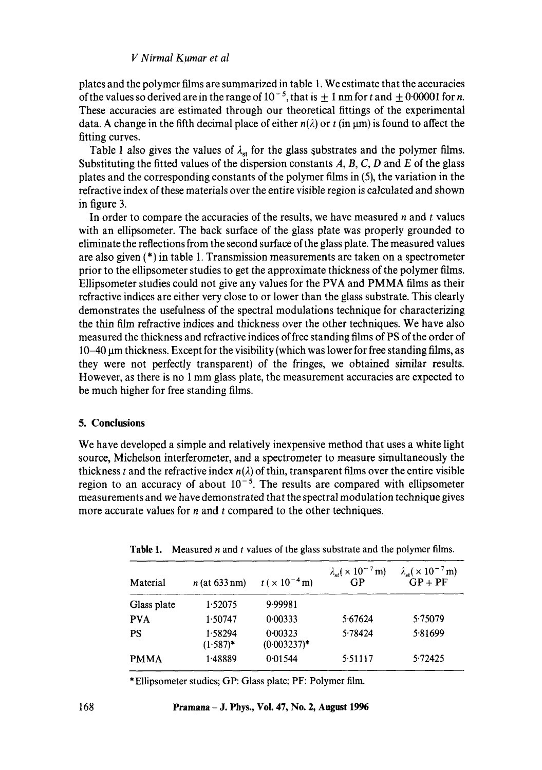### *V Nirmal Kumar et al*

plates and the polymer films are summarized in table 1. We estimate that the accuracies of the values so derived are in the range of  $10^{-5}$ , that is  $\pm 1$  nm for t and  $\pm 0.00001$  for n. These accuracies are estimated through our theoretical fittings of the experimental data. A change in the fifth decimal place of either  $n(\lambda)$  or t (in  $\mu$ m) is found to affect the fitting curves.

Table 1 also gives the values of  $\lambda_{st}$  for the glass substrates and the polymer films. Substituting the fitted values of the dispersion constants  $A, B, C, D$  and  $E$  of the glass plates and the corresponding constants of the polymer films in (5), the variation in the refractive index of these materials over the entire visible region is calculated and shown in figure 3.

In order to compare the accuracies of the results, we have measured  $n$  and  $t$  values with an ellipsometer. The back surface of the glass plate was properly grounded to eliminate the reflections from the second surface of the glass plate. The measured values are also given (\*) in table 1. Transmission measurements are taken on a spectrometer prior to the ellipsometer studies to get the approximate thickness of the polymer films. Ellipsometer studies could not give any values for the PVA and PMMA films as their refractive indices are either very close to or lower than the glass substrate. This clearly demonstrates the usefulness of the spectral modulations technique for characterizing the thin film refractive indices and thickness over the other techniques. We have also measured the thickness and refractive indices of free standing films of PS of the order of  $10-40$  µm thickness. Except for the visibility (which was lower for free standing films, as they were not perfectly transparent) of the fringes, we obtained similar results. However, as there is no 1 mm glass plate, the measurement accuracies are expected to be much higher for free standing films.

## **5. Conclusions**

We have developed a simple and relatively inexpensive method that uses a white light source, Michelson interferometer, and a spectrometer to measure simultaneously the thickness t and the refractive index  $n(\lambda)$  of thin, transparent films over the entire visible region to an accuracy of about  $10^{-5}$ . The results are compared with ellipsometer measurements and we have demonstrated that the spectral modulation technique gives more accurate values for  $n$  and  $t$  compared to the other techniques.

| Material    | $n$ (at 633 nm)        | $t \times 10^{-4}$ m)     | $\lambda_{st}$ ( × 10 <sup>-7</sup> m)<br>GP | $\lambda_{\rm st}(\times 10^{-7}\,\rm m)$<br>$GP + PF$ |
|-------------|------------------------|---------------------------|----------------------------------------------|--------------------------------------------------------|
| Glass plate | 1.52075                | 9.99981                   |                                              |                                                        |
| <b>PVA</b>  | 1.50747                | 0.00333                   | 5.67624                                      | 5.75079                                                |
| PS          | 1.58294<br>$(1.587)^*$ | 0.00323<br>$(0.003237)^*$ | 5.78424                                      | 5.81699                                                |
| <b>PMMA</b> | 1.48889                | 0.01544                   | 5.51117                                      | 5.72425                                                |

**Table** 1. Measured n and t values of the glass substrate and the polymer films.

\*Ellipsometer studies; GP: Glass plate; PF: Polymer film.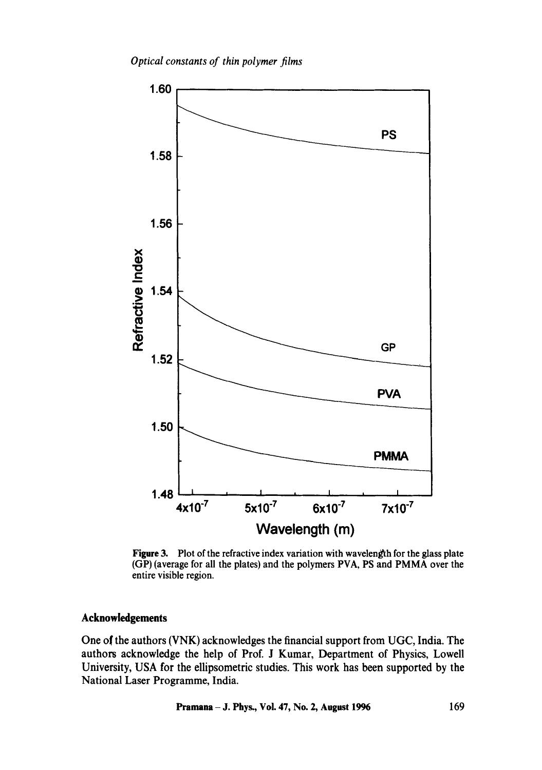*Optical constants of thin polymer films* 



Figure 3. Plot of the refractive index variation with wavelength for the glass plate (GP) (average for all the plates) and the polymers PVA, PS and PMMA over the entire visible region.

# **Acknowledgements**

One of the authors (VNK) acknowledges the financial support from UGC, India. The authors acknowledge the help of Prof. J Kumar, Department of Physics, Lowell University, USA for the ellipsometric studies. This work has been supported by the National Laser Programme, India.